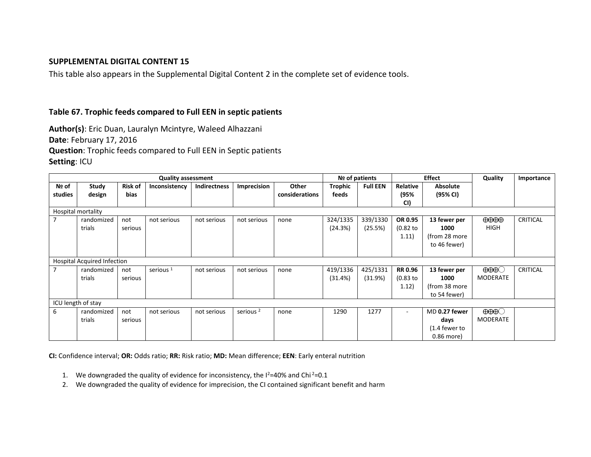### **SUPPLEMENTAL DIGITAL CONTENT 15**

This table also appears in the Supplemental Digital Content 2 in the complete set of evidence tools.

## **Table 67. Trophic feeds compared to Full EEN in septic patients**

**Author(s)**: Eric Duan, Lauralyn Mcintyre, Waleed Alhazzani **Date**: February 17, 2016 **Question**: Trophic feeds compared to Full EEN in Septic patients **Setting**: ICU

| <b>Quality assessment</b> |                                    |                |                      |                     |                      |                |          | Nº of patients  |                | <b>Effect</b>   |                            | Importance      |
|---------------------------|------------------------------------|----------------|----------------------|---------------------|----------------------|----------------|----------|-----------------|----------------|-----------------|----------------------------|-----------------|
| Nº of                     | Study                              | <b>Risk of</b> | Inconsistency        | <b>Indirectness</b> | Imprecision          | Other          | Trophic  | <b>Full EEN</b> | Relative       | <b>Absolute</b> |                            |                 |
| studies                   | design                             | bias           |                      |                     |                      | considerations | feeds    |                 | (95%           | (95% CI)        |                            |                 |
|                           |                                    |                |                      |                     |                      |                |          |                 | CI)            |                 |                            |                 |
| Hospital mortality        |                                    |                |                      |                     |                      |                |          |                 |                |                 |                            |                 |
|                           | randomized                         | not            | not serious          | not serious         | not serious          | none           | 324/1335 | 339/1330        | OR 0.95        | 13 fewer per    | $\Theta$ $\Theta$ $\Theta$ | <b>CRITICAL</b> |
|                           | trials                             | serious        |                      |                     |                      |                | (24.3%)  | (25.5%)         | $(0.82)$ to    | 1000            | <b>HIGH</b>                |                 |
|                           |                                    |                |                      |                     |                      |                |          |                 | 1.11)          | (from 28 more   |                            |                 |
|                           |                                    |                |                      |                     |                      |                |          |                 |                | to 46 fewer)    |                            |                 |
|                           |                                    |                |                      |                     |                      |                |          |                 |                |                 |                            |                 |
|                           | <b>Hospital Acquired Infection</b> |                |                      |                     |                      |                |          |                 |                |                 |                            |                 |
|                           | randomized                         | not            | serious <sup>1</sup> | not serious         | not serious          | none           | 419/1336 | 425/1331        | <b>RR 0.96</b> | 13 fewer per    | $\Theta$ $\Theta$          | <b>CRITICAL</b> |
|                           | trials                             | serious        |                      |                     |                      |                | (31.4%)  | (31.9%)         | $(0.83)$ to    | 1000            | <b>MODERATE</b>            |                 |
|                           |                                    |                |                      |                     |                      |                |          |                 | 1.12)          | (from 38 more   |                            |                 |
|                           |                                    |                |                      |                     |                      |                |          |                 |                | to 54 fewer)    |                            |                 |
| ICU length of stay        |                                    |                |                      |                     |                      |                |          |                 |                |                 |                            |                 |
| 6                         | randomized                         | not            | not serious          | not serious         | serious <sup>2</sup> | none           | 1290     | 1277            | ٠              | MD 0.27 fewer   | $\Theta$ $\Theta$          |                 |
|                           | trials                             | serious        |                      |                     |                      |                |          |                 |                | days            | <b>MODERATE</b>            |                 |
|                           |                                    |                |                      |                     |                      |                |          |                 |                | (1.4 fewer to   |                            |                 |
|                           |                                    |                |                      |                     |                      |                |          |                 |                | 0.86 more)      |                            |                 |

**CI:** Confidence interval; **OR:** Odds ratio; **RR:** Risk ratio; **MD:** Mean difference; **EEN**: Early enteral nutrition

1. We downgraded the quality of evidence for inconsistency, the  $I^2$ =40% and Chi<sup>2</sup>=0.1

2. We downgraded the quality of evidence for imprecision, the CI contained significant benefit and harm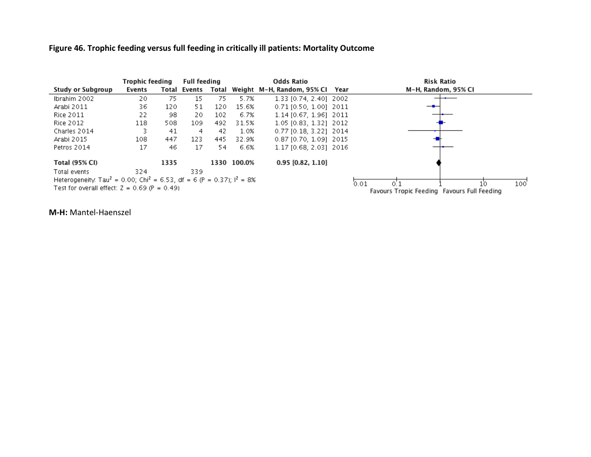### **Figure 46. Trophic feeding versus full feeding in critically ill patients: Mortality Outcome**



#### **M-H:** Mantel-Haenszel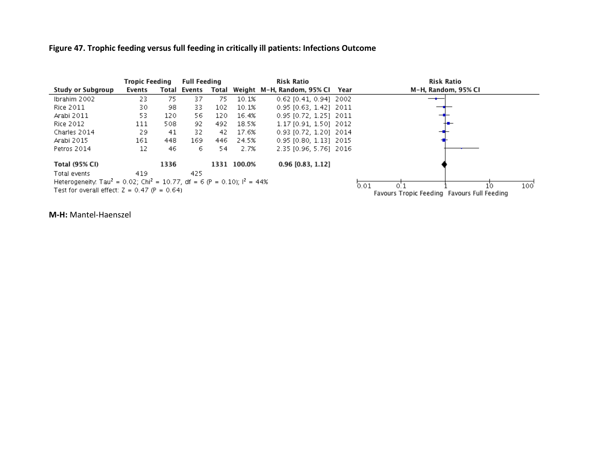### **Figure 47. Trophic feeding versus full feeding in critically ill patients: Infections Outcome**



**M-H:** Mantel-Haenszel